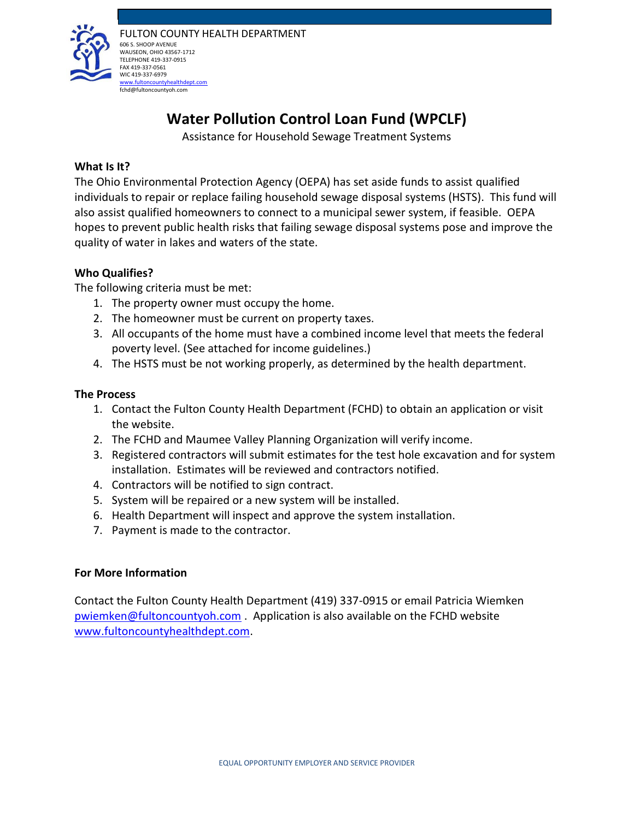

# **Water Pollution Control Loan Fund (WPCLF)**

Assistance for Household Sewage Treatment Systems

# **What Is It?**

The Ohio Environmental Protection Agency (OEPA) has set aside funds to assist qualified individuals to repair or replace failing household sewage disposal systems (HSTS). This fund will also assist qualified homeowners to connect to a municipal sewer system, if feasible. OEPA hopes to prevent public health risks that failing sewage disposal systems pose and improve the quality of water in lakes and waters of the state.

# **Who Qualifies?**

The following criteria must be met:

- 1. The property owner must occupy the home.
- 2. The homeowner must be current on property taxes.
- 3. All occupants of the home must have a combined income level that meets the federal poverty level. (See attached for income guidelines.)
- 4. The HSTS must be not working properly, as determined by the health department.

## **The Process**

- 1. Contact the Fulton County Health Department (FCHD) to obtain an application or visit the website.
- 2. The FCHD and Maumee Valley Planning Organization will verify income.
- 3. Registered contractors will submit estimates for the test hole excavation and for system installation. Estimates will be reviewed and contractors notified.
- 4. Contractors will be notified to sign contract.
- 5. System will be repaired or a new system will be installed.
- 6. Health Department will inspect and approve the system installation.
- 7. Payment is made to the contractor.

#### **For More Information**

Contact the Fulton County Health Department (419) 337-0915 or email Patricia Wiemken [pwiemken@fultoncountyoh.com](mailto:pwiemken@fultoncountyoh.com) . Application is also available on the FCHD website [www.fultoncountyhealthdept.com.](http://www.fultoncountyhealthdept.com/)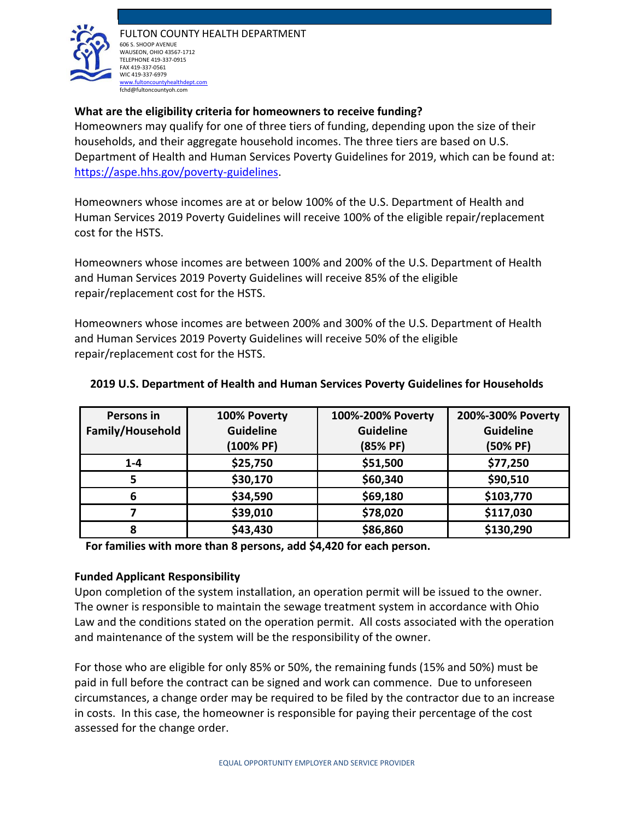

FULTON COUNTY HEALTH DEPARTMENT 606 S. SHOOP AVENUE WAUSEON, OHIO 43567-1712 TELEPHONE 419-337-0915 FAX 419-337-0561 WIC 419-337-6979 [www.fultoncountyhealthdept.com](http://www.fultoncountyhealthdept.com/) fchd@fultoncountyoh.com

# **What are the eligibility criteria for homeowners to receive funding?**

Homeowners may qualify for one of three tiers of funding, depending upon the size of their households, and their aggregate household incomes. The three tiers are based on U.S. Department of Health and Human Services Poverty Guidelines for 2019, which can be found at: [https://aspe.hhs.gov/poverty-guidelines.](https://aspe.hhs.gov/poverty-guidelines)

Homeowners whose incomes are at or below 100% of the U.S. Department of Health and Human Services 2019 Poverty Guidelines will receive 100% of the eligible repair/replacement cost for the HSTS.

Homeowners whose incomes are between 100% and 200% of the U.S. Department of Health and Human Services 2019 Poverty Guidelines will receive 85% of the eligible repair/replacement cost for the HSTS.

Homeowners whose incomes are between 200% and 300% of the U.S. Department of Health and Human Services 2019 Poverty Guidelines will receive 50% of the eligible repair/replacement cost for the HSTS.

| Persons in       | 100% Poverty     | 100%-200% Poverty | 200%-300% Poverty |
|------------------|------------------|-------------------|-------------------|
| Family/Household | <b>Guideline</b> | <b>Guideline</b>  | <b>Guideline</b>  |
|                  | (100% PF)        | (85% PF)          | (50% PF)          |
| $1 - 4$          | \$25,750         | \$51,500          | \$77,250          |
| 5                | \$30,170         | \$60,340          | \$90,510          |
| 6                | \$34,590         | \$69,180          | \$103,770         |
|                  | \$39,010         | \$78,020          | \$117,030         |
| 8                | \$43,430         | \$86,860          | \$130,290         |

#### **2019 U.S. Department of Health and Human Services Poverty Guidelines for Households**

**For families with more than 8 persons, add \$4,420 for each person.** 

#### **Funded Applicant Responsibility**

Upon completion of the system installation, an operation permit will be issued to the owner. The owner is responsible to maintain the sewage treatment system in accordance with Ohio Law and the conditions stated on the operation permit. All costs associated with the operation and maintenance of the system will be the responsibility of the owner.

For those who are eligible for only 85% or 50%, the remaining funds (15% and 50%) must be paid in full before the contract can be signed and work can commence. Due to unforeseen circumstances, a change order may be required to be filed by the contractor due to an increase in costs. In this case, the homeowner is responsible for paying their percentage of the cost assessed for the change order.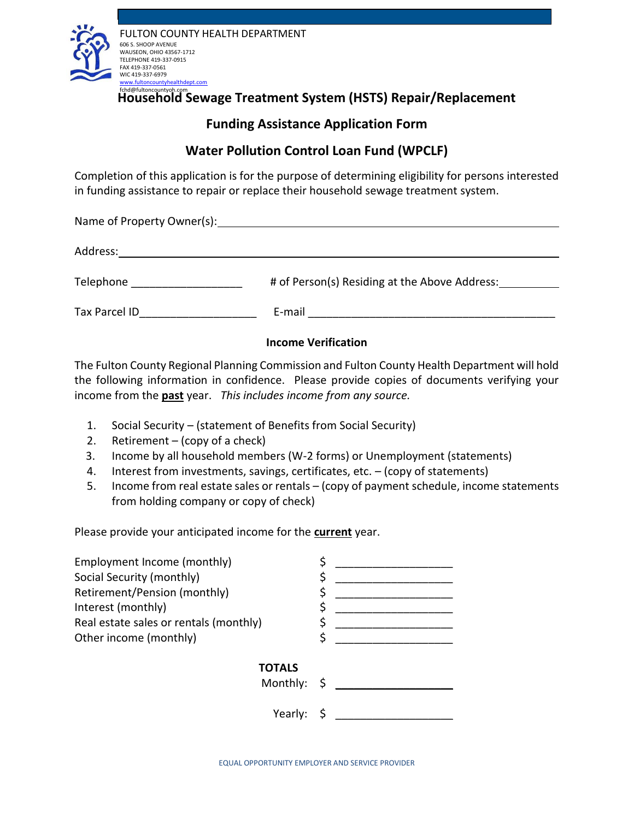

Household Sewage Treatment System (HSTS) Repair/Replacement

# **Funding Assistance Application Form**

# **Water Pollution Control Loan Fund (WPCLF)**

Completion of this application is for the purpose of determining eligibility for persons interested in funding assistance to repair or replace their household sewage treatment system.

Name of Property Owner(s): Address: Telephone \_\_\_\_\_\_\_\_\_\_\_\_\_\_\_\_\_\_\_\_\_ # of Person(s) Residing at the Above Address: \_\_\_ Tax Parcel ID **E**-mail **E**-mail **E**-mail **E**-mail **E**-mail **E**-mail **E**-mail **E**-mail **E** 

# **Income Verification**

The Fulton County Regional Planning Commission and Fulton County Health Department will hold the following information in confidence. Please provide copies of documents verifying your income from the **past** year. *This includes income from any source.*

- 1. Social Security (statement of Benefits from Social Security)
- 2. Retirement  $-$  (copy of a check)
- 3. Income by all household members (W-2 forms) or Unemployment (statements)
- 4. Interest from investments, savings, certificates, etc. (copy of statements)
- 5. Income from real estate sales or rentals (copy of payment schedule, income statements from holding company or copy of check)

Please provide your anticipated income for the **current** year.

| Employment Income (monthly)            |  |
|----------------------------------------|--|
| Social Security (monthly)              |  |
| Retirement/Pension (monthly)           |  |
| Interest (monthly)                     |  |
| Real estate sales or rentals (monthly) |  |
| Other income (monthly)                 |  |
|                                        |  |
| <b>TOTALS</b>                          |  |
| Monthly: $\zeta$ __                    |  |
|                                        |  |
|                                        |  |
|                                        |  |